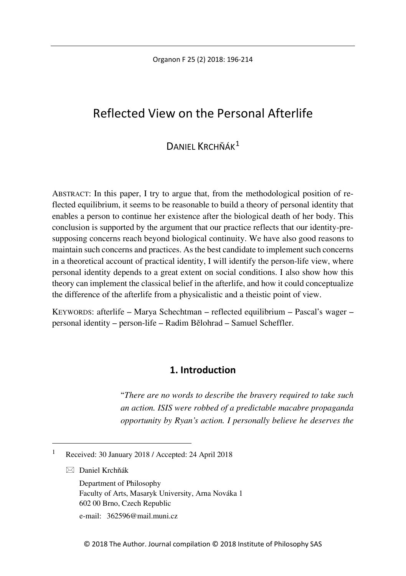Organon F 25 (2) 2018: 196-214

# Reflected View on the Personal Afterlife

# DANIEL KRCHŇÁK<sup>[1](#page-0-0)</sup>

ABSTRACT: In this paper, I try to argue that, from the methodological position of reflected equilibrium, it seems to be reasonable to build a theory of personal identity that enables a person to continue her existence after the biological death of her body. This conclusion is supported by the argument that our practice reflects that our identity-presupposing concerns reach beyond biological continuity. We have also good reasons to maintain such concerns and practices. As the best candidate to implement such concerns in a theoretical account of practical identity, I will identify the person-life view, where personal identity depends to a great extent on social conditions. I also show how this theory can implement the classical belief in the afterlife, and how it could conceptualize the difference of the afterlife from a physicalistic and a theistic point of view.

KEYWORDS: afterlife – Marya Schechtman – reflected equilibrium – Pascal's wager – personal identity – person-life – Radim Bělohrad – Samuel Scheffler.

## **1. Introduction**

"*There are no words to describe the bravery required to take such an action. ISIS were robbed of a predictable macabre propaganda opportunity by Ryan's action. I personally believe he deserves the* 

 $\boxtimes$  Daniel Krchňák

Department of Philosophy Faculty of Arts, Masaryk University, Arna Nováka 1 602 00 Brno, Czech Republic

e-mail: 362596@mail.muni.cz

<span id="page-0-0"></span> <sup>1</sup> Received: 30 January <sup>2018</sup> / Accepted: 24 April <sup>2018</sup>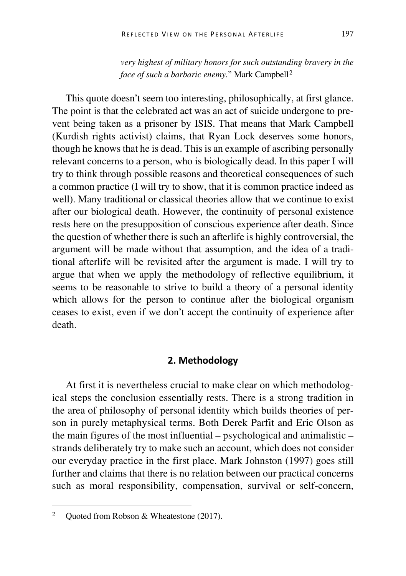*very highest of military honors for such outstanding bravery in the face of such a barbaric enemy*." Mark Campbell[2](#page-1-0)

This quote doesn't seem too interesting, philosophically, at first glance. The point is that the celebrated act was an act of suicide undergone to prevent being taken as a prisoner by ISIS. That means that Mark Campbell (Kurdish rights activist) claims, that Ryan Lock deserves some honors, though he knows that he is dead. This is an example of ascribing personally relevant concerns to a person, who is biologically dead. In this paper I will try to think through possible reasons and theoretical consequences of such a common practice (I will try to show, that it is common practice indeed as well). Many traditional or classical theories allow that we continue to exist after our biological death. However, the continuity of personal existence rests here on the presupposition of conscious experience after death. Since the question of whether there is such an afterlife is highly controversial, the argument will be made without that assumption, and the idea of a traditional afterlife will be revisited after the argument is made. I will try to argue that when we apply the methodology of reflective equilibrium, it seems to be reasonable to strive to build a theory of a personal identity which allows for the person to continue after the biological organism ceases to exist, even if we don't accept the continuity of experience after death.

## **2. Methodology**

At first it is nevertheless crucial to make clear on which methodological steps the conclusion essentially rests. There is a strong tradition in the area of philosophy of personal identity which builds theories of person in purely metaphysical terms. Both Derek Parfit and Eric Olson as the main figures of the most influential – psychological and animalistic – strands deliberately try to make such an account, which does not consider our everyday practice in the first place. Mark Johnston (1997) goes still further and claims that there is no relation between our practical concerns such as moral responsibility, compensation, survival or self-concern,

<span id="page-1-0"></span><sup>&</sup>lt;sup>2</sup> Ouoted from Robson & Wheatestone (2017).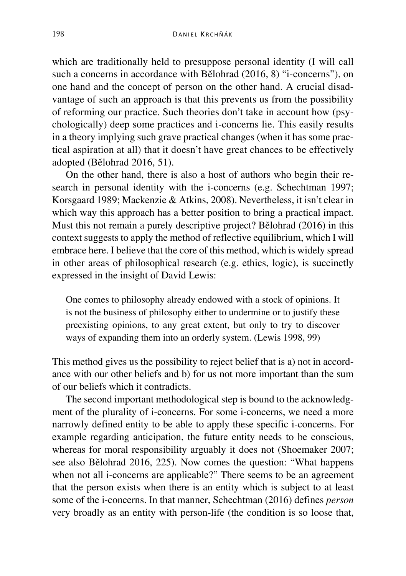which are traditionally held to presuppose personal identity (I will call such a concerns in accordance with Bělohrad (2016, 8) "i-concerns"), on one hand and the concept of person on the other hand. A crucial disadvantage of such an approach is that this prevents us from the possibility of reforming our practice. Such theories don't take in account how (psychologically) deep some practices and i-concerns lie. This easily results in a theory implying such grave practical changes (when it has some practical aspiration at all) that it doesn't have great chances to be effectively adopted (Bělohrad 2016, 51).

On the other hand, there is also a host of authors who begin their research in personal identity with the i-concerns (e.g. Schechtman 1997; Korsgaard 1989; Mackenzie & Atkins, 2008). Nevertheless, it isn't clear in which way this approach has a better position to bring a practical impact. Must this not remain a purely descriptive project? Bělohrad (2016) in this context suggests to apply the method of reflective equilibrium, which I will embrace here. I believe that the core of this method, which is widely spread in other areas of philosophical research (e.g. ethics, logic), is succinctly expressed in the insight of David Lewis:

One comes to philosophy already endowed with a stock of opinions. It is not the business of philosophy either to undermine or to justify these preexisting opinions, to any great extent, but only to try to discover ways of expanding them into an orderly system. (Lewis 1998, 99)

This method gives us the possibility to reject belief that is a) not in accordance with our other beliefs and b) for us not more important than the sum of our beliefs which it contradicts.

The second important methodological step is bound to the acknowledgment of the plurality of i-concerns. For some i-concerns, we need a more narrowly defined entity to be able to apply these specific i-concerns. For example regarding anticipation, the future entity needs to be conscious, whereas for moral responsibility arguably it does not (Shoemaker 2007; see also Bělohrad 2016, 225). Now comes the question: "What happens when not all i-concerns are applicable?" There seems to be an agreement that the person exists when there is an entity which is subject to at least some of the i-concerns. In that manner, Schechtman (2016) defines *person* very broadly as an entity with person-life (the condition is so loose that,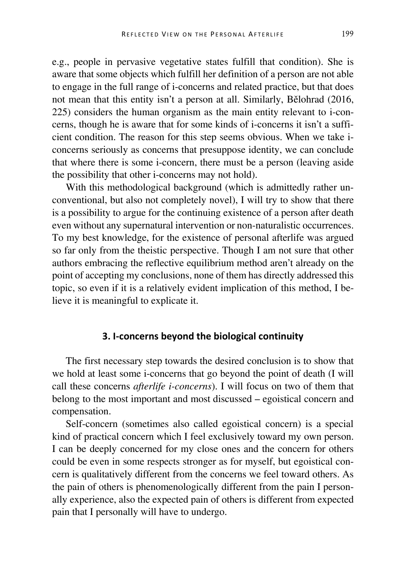e.g., people in pervasive vegetative states fulfill that condition). She is aware that some objects which fulfill her definition of a person are not able to engage in the full range of i-concerns and related practice, but that does not mean that this entity isn't a person at all. Similarly, Bělohrad (2016, 225) considers the human organism as the main entity relevant to i-concerns, though he is aware that for some kinds of i-concerns it isn't a sufficient condition. The reason for this step seems obvious. When we take iconcerns seriously as concerns that presuppose identity, we can conclude that where there is some i-concern, there must be a person (leaving aside the possibility that other i-concerns may not hold).

With this methodological background (which is admittedly rather unconventional, but also not completely novel), I will try to show that there is a possibility to argue for the continuing existence of a person after death even without any supernatural intervention or non-naturalistic occurrences. To my best knowledge, for the existence of personal afterlife was argued so far only from the theistic perspective. Though I am not sure that other authors embracing the reflective equilibrium method aren't already on the point of accepting my conclusions, none of them has directly addressed this topic, so even if it is a relatively evident implication of this method, I believe it is meaningful to explicate it.

#### **3. I-concerns beyond the biological continuity**

The first necessary step towards the desired conclusion is to show that we hold at least some i-concerns that go beyond the point of death (I will call these concerns *afterlife i-concerns*). I will focus on two of them that belong to the most important and most discussed – egoistical concern and compensation.

Self-concern (sometimes also called egoistical concern) is a special kind of practical concern which I feel exclusively toward my own person. I can be deeply concerned for my close ones and the concern for others could be even in some respects stronger as for myself, but egoistical concern is qualitatively different from the concerns we feel toward others. As the pain of others is phenomenologically different from the pain I personally experience, also the expected pain of others is different from expected pain that I personally will have to undergo.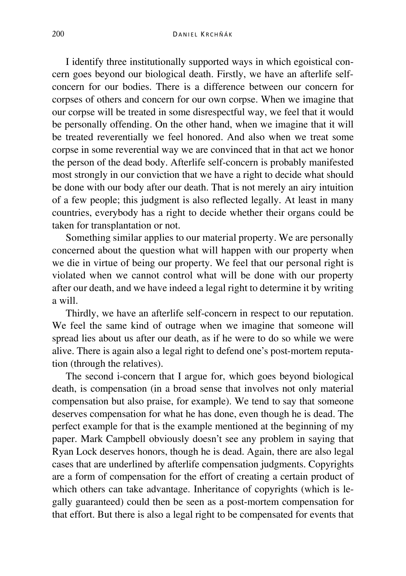I identify three institutionally supported ways in which egoistical concern goes beyond our biological death. Firstly, we have an afterlife selfconcern for our bodies. There is a difference between our concern for corpses of others and concern for our own corpse. When we imagine that our corpse will be treated in some disrespectful way, we feel that it would be personally offending. On the other hand, when we imagine that it will be treated reverentially we feel honored. And also when we treat some corpse in some reverential way we are convinced that in that act we honor the person of the dead body. Afterlife self-concern is probably manifested most strongly in our conviction that we have a right to decide what should be done with our body after our death. That is not merely an airy intuition of a few people; this judgment is also reflected legally. At least in many countries, everybody has a right to decide whether their organs could be taken for transplantation or not.

Something similar applies to our material property. We are personally concerned about the question what will happen with our property when we die in virtue of being our property. We feel that our personal right is violated when we cannot control what will be done with our property after our death, and we have indeed a legal right to determine it by writing a will.

Thirdly, we have an afterlife self-concern in respect to our reputation. We feel the same kind of outrage when we imagine that someone will spread lies about us after our death, as if he were to do so while we were alive. There is again also a legal right to defend one's post-mortem reputation (through the relatives).

The second i-concern that I argue for, which goes beyond biological death, is compensation (in a broad sense that involves not only material compensation but also praise, for example). We tend to say that someone deserves compensation for what he has done, even though he is dead. The perfect example for that is the example mentioned at the beginning of my paper. Mark Campbell obviously doesn't see any problem in saying that Ryan Lock deserves honors, though he is dead. Again, there are also legal cases that are underlined by afterlife compensation judgments. Copyrights are a form of compensation for the effort of creating a certain product of which others can take advantage. Inheritance of copyrights (which is legally guaranteed) could then be seen as a post-mortem compensation for that effort. But there is also a legal right to be compensated for events that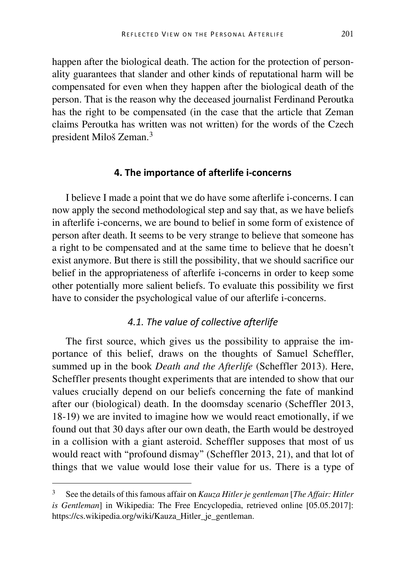happen after the biological death. The action for the protection of personality guarantees that slander and other kinds of reputational harm will be compensated for even when they happen after the biological death of the person. That is the reason why the deceased journalist Ferdinand Peroutka has the right to be compensated (in the case that the article that Zeman claims Peroutka has written was not written) for the words of the Czech president Miloš Zeman.[3](#page-5-0)

#### **4. The importance of afterlife i-concerns**

I believe I made a point that we do have some afterlife i-concerns. I can now apply the second methodological step and say that, as we have beliefs in afterlife i-concerns, we are bound to belief in some form of existence of person after death. It seems to be very strange to believe that someone has a right to be compensated and at the same time to believe that he doesn't exist anymore. But there is still the possibility, that we should sacrifice our belief in the appropriateness of afterlife i-concerns in order to keep some other potentially more salient beliefs. To evaluate this possibility we first have to consider the psychological value of our afterlife i-concerns.

#### *4.1. The value of collective afterlife*

The first source, which gives us the possibility to appraise the importance of this belief, draws on the thoughts of Samuel Scheffler, summed up in the book *Death and the Afterlife* (Scheffler 2013). Here, Scheffler presents thought experiments that are intended to show that our values crucially depend on our beliefs concerning the fate of mankind after our (biological) death. In the doomsday scenario (Scheffler 2013, 18-19) we are invited to imagine how we would react emotionally, if we found out that 30 days after our own death, the Earth would be destroyed in a collision with a giant asteroid. Scheffler supposes that most of us would react with "profound dismay" (Scheffler 2013, 21), and that lot of things that we value would lose their value for us. There is a type of

<span id="page-5-0"></span> <sup>3</sup> See the details of this famous affair on *Kauza Hitler je gentleman* [*The Affair: Hitler is Gentleman*] in Wikipedia: The Free Encyclopedia, retrieved online [05.05.2017]: [https://cs.wikipedia.org/wiki/Kauza\\_Hitler\\_je\\_gentleman.](https://cs.wikipedia.org/wiki/Kauza_Hitler_je_gentleman)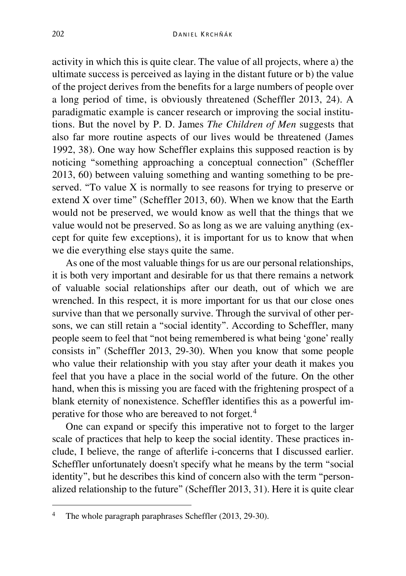activity in which this is quite clear. The value of all projects, where a) the ultimate success is perceived as laying in the distant future or b) the value of the project derives from the benefits for a large numbers of people over a long period of time, is obviously threatened (Scheffler 2013, 24). A paradigmatic example is cancer research or improving the social institutions. But the novel by P. D. James *The Children of Men* suggests that also far more routine aspects of our lives would be threatened (James 1992, 38). One way how Scheffler explains this supposed reaction is by noticing "something approaching a conceptual connection" (Scheffler 2013, 60) between valuing something and wanting something to be preserved. "To value X is normally to see reasons for trying to preserve or extend X over time" (Scheffler 2013, 60). When we know that the Earth would not be preserved, we would know as well that the things that we value would not be preserved. So as long as we are valuing anything (except for quite few exceptions), it is important for us to know that when we die everything else stays quite the same.

As one of the most valuable things for us are our personal relationships, it is both very important and desirable for us that there remains a network of valuable social relationships after our death, out of which we are wrenched. In this respect, it is more important for us that our close ones survive than that we personally survive. Through the survival of other persons, we can still retain a "social identity". According to Scheffler, many people seem to feel that "not being remembered is what being 'gone' really consists in" (Scheffler 2013, 29-30). When you know that some people who value their relationship with you stay after your death it makes you feel that you have a place in the social world of the future. On the other hand, when this is missing you are faced with the frightening prospect of a blank eternity of nonexistence. Scheffler identifies this as a powerful imperative for those who are bereaved to not forget.[4](#page-6-0)

One can expand or specify this imperative not to forget to the larger scale of practices that help to keep the social identity. These practices include, I believe, the range of afterlife i-concerns that I discussed earlier. Scheffler unfortunately doesn't specify what he means by the term "social identity", but he describes this kind of concern also with the term "personalized relationship to the future" (Scheffler 2013, 31). Here it is quite clear

<span id="page-6-0"></span><sup>&</sup>lt;sup>4</sup> The whole paragraph paraphrases Scheffler (2013, 29-30).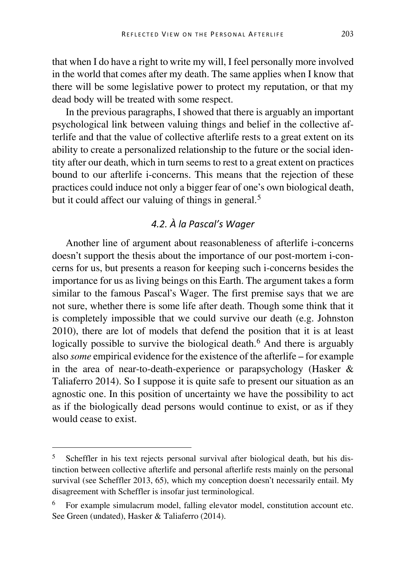that when I do have a right to write my will, I feel personally more involved in the world that comes after my death. The same applies when I know that there will be some legislative power to protect my reputation, or that my dead body will be treated with some respect.

In the previous paragraphs, I showed that there is arguably an important psychological link between valuing things and belief in the collective afterlife and that the value of collective afterlife rests to a great extent on its ability to create a personalized relationship to the future or the social identity after our death, which in turn seems to rest to a great extent on practices bound to our afterlife i-concerns. This means that the rejection of these practices could induce not only a bigger fear of one's own biological death, but it could affect our valuing of things in general.<sup>[5](#page-7-0)</sup>

# *4.2. À la Pascal's Wager*

Another line of argument about reasonableness of afterlife i-concerns doesn't support the thesis about the importance of our post-mortem i-concerns for us, but presents a reason for keeping such i-concerns besides the importance for us as living beings on this Earth. The argument takes a form similar to the famous Pascal's Wager. The first premise says that we are not sure, whether there is some life after death. Though some think that it is completely impossible that we could survive our death (e.g. Johnston 2010), there are lot of models that defend the position that it is at least logically possible to survive the biological death.<sup>[6](#page-7-1)</sup> And there is arguably also *some* empirical evidence for the existence of the afterlife – for example in the area of near-to-death-experience or parapsychology (Hasker & Taliaferro 2014). So I suppose it is quite safe to present our situation as an agnostic one. In this position of uncertainty we have the possibility to act as if the biologically dead persons would continue to exist, or as if they would cease to exist.

<span id="page-7-0"></span> <sup>5</sup> Scheffler in his text rejects personal survival after biological death, but his distinction between collective afterlife and personal afterlife rests mainly on the personal survival (see Scheffler 2013, 65), which my conception doesn't necessarily entail. My disagreement with Scheffler is insofar just terminological.

<span id="page-7-1"></span>For example simulacrum model, falling elevator model, constitution account etc. See Green (undated), Hasker & Taliaferro (2014).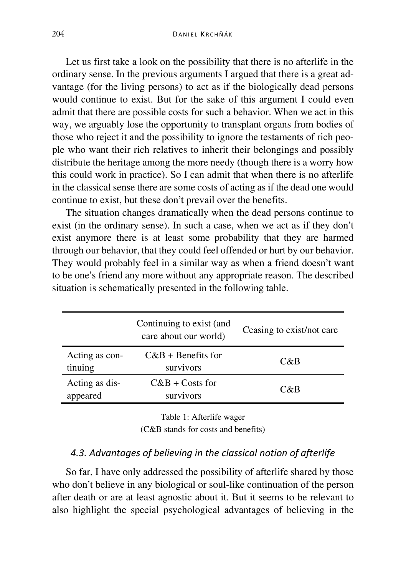Let us first take a look on the possibility that there is no afterlife in the ordinary sense. In the previous arguments I argued that there is a great advantage (for the living persons) to act as if the biologically dead persons would continue to exist. But for the sake of this argument I could even admit that there are possible costs for such a behavior. When we act in this way, we arguably lose the opportunity to transplant organs from bodies of those who reject it and the possibility to ignore the testaments of rich people who want their rich relatives to inherit their belongings and possibly distribute the heritage among the more needy (though there is a worry how this could work in practice). So I can admit that when there is no afterlife in the classical sense there are some costs of acting as if the dead one would continue to exist, but these don't prevail over the benefits.

The situation changes dramatically when the dead persons continue to exist (in the ordinary sense). In such a case, when we act as if they don't exist anymore there is at least some probability that they are harmed through our behavior, that they could feel offended or hurt by our behavior. They would probably feel in a similar way as when a friend doesn't want to be one's friend any more without any appropriate reason. The described situation is schematically presented in the following table.

|                            | Continuing to exist (and<br>care about our world) | Ceasing to exist/not care |
|----------------------------|---------------------------------------------------|---------------------------|
| Acting as con-<br>tinuing  | $C\&B$ + Benefits for<br>survivors                | C&B                       |
| Acting as dis-<br>appeared | $C&B + Costs$ for<br><b>SUIVIVOIS</b>             | C&B                       |

Table 1: Afterlife wager (C&B stands for costs and benefits)

## *4.3. Advantages of believing in the classical notion of afterlife*

So far, I have only addressed the possibility of afterlife shared by those who don't believe in any biological or soul-like continuation of the person after death or are at least agnostic about it. But it seems to be relevant to also highlight the special psychological advantages of believing in the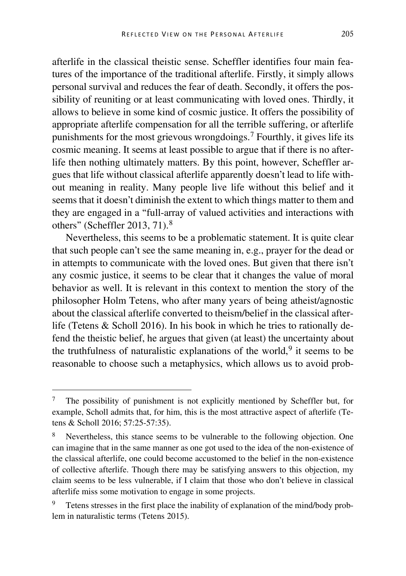afterlife in the classical theistic sense. Scheffler identifies four main features of the importance of the traditional afterlife. Firstly, it simply allows personal survival and reduces the fear of death. Secondly, it offers the possibility of reuniting or at least communicating with loved ones. Thirdly, it allows to believe in some kind of cosmic justice. It offers the possibility of appropriate afterlife compensation for all the terrible suffering, or afterlife punishments for the most grievous wrongdoings.[7](#page-9-0) Fourthly, it gives life its cosmic meaning. It seems at least possible to argue that if there is no afterlife then nothing ultimately matters. By this point, however, Scheffler argues that life without classical afterlife apparently doesn't lead to life without meaning in reality. Many people live life without this belief and it seems that it doesn't diminish the extent to which things matter to them and they are engaged in a "full-array of valued activities and interactions with others" (Scheffler 2013, 71).[8](#page-9-1)

Nevertheless, this seems to be a problematic statement. It is quite clear that such people can't see the same meaning in, e.g., prayer for the dead or in attempts to communicate with the loved ones. But given that there isn't any cosmic justice, it seems to be clear that it changes the value of moral behavior as well. It is relevant in this context to mention the story of the philosopher Holm Tetens, who after many years of being atheist/agnostic about the classical afterlife converted to theism/belief in the classical afterlife (Tetens & Scholl 2016). In his book in which he tries to rationally defend the theistic belief, he argues that given (at least) the uncertainty about the truthfulness of naturalistic explanations of the world,  $9$  it seems to be reasonable to choose such a metaphysics, which allows us to avoid prob-

<span id="page-9-0"></span><sup>&</sup>lt;sup>7</sup> The possibility of punishment is not explicitly mentioned by Scheffler but, for example, Scholl admits that, for him, this is the most attractive aspect of afterlife (Tetens & Scholl 2016; 57:25-57:35).

<span id="page-9-1"></span><sup>&</sup>lt;sup>8</sup> Nevertheless, this stance seems to be vulnerable to the following objection. One can imagine that in the same manner as one got used to the idea of the non-existence of the classical afterlife, one could become accustomed to the belief in the non-existence of collective afterlife. Though there may be satisfying answers to this objection, my claim seems to be less vulnerable, if I claim that those who don't believe in classical afterlife miss some motivation to engage in some projects.

<span id="page-9-2"></span>Tetens stresses in the first place the inability of explanation of the mind/body problem in naturalistic terms (Tetens 2015).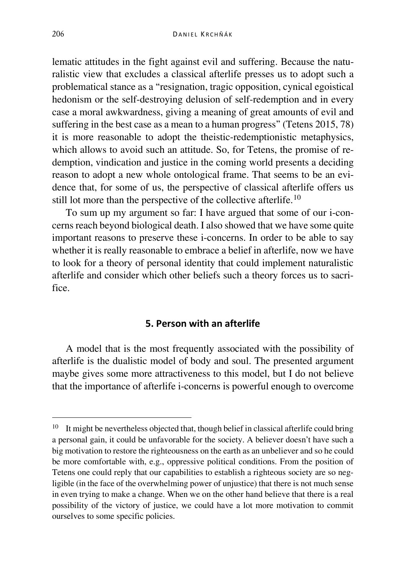lematic attitudes in the fight against evil and suffering. Because the naturalistic view that excludes a classical afterlife presses us to adopt such a problematical stance as a "resignation, tragic opposition, cynical egoistical hedonism or the self-destroying delusion of self-redemption and in every case a moral awkwardness, giving a meaning of great amounts of evil and suffering in the best case as a mean to a human progress" (Tetens 2015, 78) it is more reasonable to adopt the theistic-redemptionistic metaphysics, which allows to avoid such an attitude. So, for Tetens, the promise of redemption, vindication and justice in the coming world presents a deciding reason to adopt a new whole ontological frame. That seems to be an evidence that, for some of us, the perspective of classical afterlife offers us still lot more than the perspective of the collective afterlife.<sup>[10](#page-10-0)</sup>

To sum up my argument so far: I have argued that some of our i-concerns reach beyond biological death. I also showed that we have some quite important reasons to preserve these i-concerns. In order to be able to say whether it is really reasonable to embrace a belief in afterlife, now we have to look for a theory of personal identity that could implement naturalistic afterlife and consider which other beliefs such a theory forces us to sacrifice.

#### **5. Person with an afterlife**

A model that is the most frequently associated with the possibility of afterlife is the dualistic model of body and soul. The presented argument maybe gives some more attractiveness to this model, but I do not believe that the importance of afterlife i-concerns is powerful enough to overcome

<span id="page-10-0"></span> $10$  It might be nevertheless objected that, though belief in classical afterlife could bring a personal gain, it could be unfavorable for the society. A believer doesn't have such a big motivation to restore the righteousness on the earth as an unbeliever and so he could be more comfortable with, e.g., oppressive political conditions. From the position of Tetens one could reply that our capabilities to establish a righteous society are so negligible (in the face of the overwhelming power of unjustice) that there is not much sense in even trying to make a change. When we on the other hand believe that there is a real possibility of the victory of justice, we could have a lot more motivation to commit ourselves to some specific policies.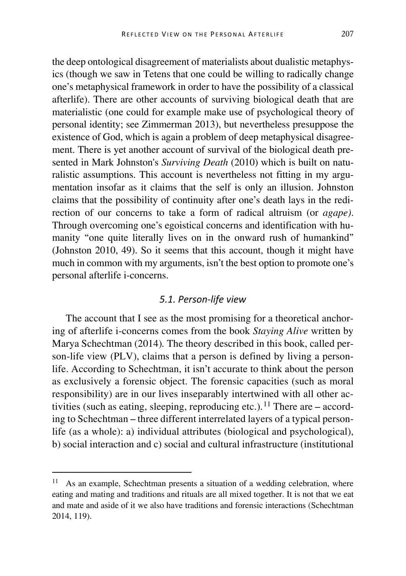the deep ontological disagreement of materialists about dualistic metaphysics (though we saw in Tetens that one could be willing to radically change one's metaphysical framework in order to have the possibility of a classical afterlife). There are other accounts of surviving biological death that are materialistic (one could for example make use of psychological theory of personal identity; see Zimmerman 2013), but nevertheless presuppose the existence of God, which is again a problem of deep metaphysical disagreement. There is yet another account of survival of the biological death presented in Mark Johnston's *Surviving Death* (2010) which is built on naturalistic assumptions. This account is nevertheless not fitting in my argumentation insofar as it claims that the self is only an illusion. Johnston claims that the possibility of continuity after one's death lays in the redirection of our concerns to take a form of radical altruism (or *agape)*. Through overcoming one's egoistical concerns and identification with humanity "one quite literally lives on in the onward rush of humankind" (Johnston 2010, 49). So it seems that this account, though it might have much in common with my arguments, isn't the best option to promote one's personal afterlife i-concerns.

#### *5.1. Person-life view*

The account that I see as the most promising for a theoretical anchoring of afterlife i-concerns comes from the book *Staying Alive* written by Marya Schechtman (2014)*.* The theory described in this book, called person-life view (PLV), claims that a person is defined by living a personlife. According to Schechtman, it isn't accurate to think about the person as exclusively a forensic object. The forensic capacities (such as moral responsibility) are in our lives inseparably intertwined with all other ac-tivities (such as eating, sleeping, reproducing etc.).<sup>[11](#page-11-0)</sup> There are  $-$  according to Schechtman – three different interrelated layers of a typical personlife (as a whole): a) individual attributes (biological and psychological), b) social interaction and c) social and cultural infrastructure (institutional

<span id="page-11-0"></span> $11$  As an example, Schechtman presents a situation of a wedding celebration, where eating and mating and traditions and rituals are all mixed together. It is not that we eat and mate and aside of it we also have traditions and forensic interactions (Schechtman 2014, 119).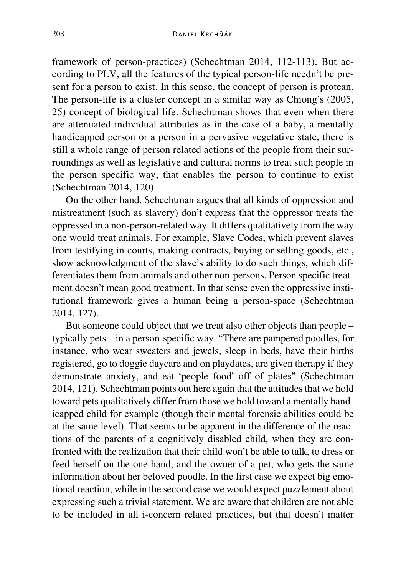framework of person-practices) (Schechtman 2014, 112-113). But according to PLV, all the features of the typical person-life needn't be present for a person to exist. In this sense, the concept of person is protean. The person-life is a cluster concept in a similar way as Chiong's (2005, 25) concept of biological life. Schechtman shows that even when there are attenuated individual attributes as in the case of a baby, a mentally handicapped person or a person in a pervasive vegetative state, there is still a whole range of person related actions of the people from their surroundings as well as legislative and cultural norms to treat such people in the person specific way, that enables the person to continue to exist (Schechtman 2014, 120).

On the other hand, Schechtman argues that all kinds of oppression and mistreatment (such as slavery) don't express that the oppressor treats the oppressed in a non-person-related way. It differs qualitatively from the way one would treat animals. For example, Slave Codes, which prevent slaves from testifying in courts, making contracts, buying or selling goods, etc., show acknowledgment of the slave's ability to do such things, which differentiates them from animals and other non-persons. Person specific treatment doesn't mean good treatment. In that sense even the oppressive institutional framework gives a human being a person-space (Schechtman 2014, 127).

But someone could object that we treat also other objects than people – typically pets – in a person-specific way. "There are pampered poodles, for instance, who wear sweaters and jewels, sleep in beds, have their births registered, go to doggie daycare and on playdates, are given therapy if they demonstrate anxiety, and eat 'people food' off of plates" (Schechtman 2014, 121). Schechtman points out here again that the attitudes that we hold toward pets qualitatively differ from those we hold toward a mentally handicapped child for example (though their mental forensic abilities could be at the same level). That seems to be apparent in the difference of the reactions of the parents of a cognitively disabled child, when they are confronted with the realization that their child won't be able to talk, to dress or feed herself on the one hand, and the owner of a pet, who gets the same information about her beloved poodle. In the first case we expect big emotional reaction, while in the second case we would expect puzzlement about expressing such a trivial statement. We are aware that children are not able to be included in all i-concern related practices, but that doesn't matter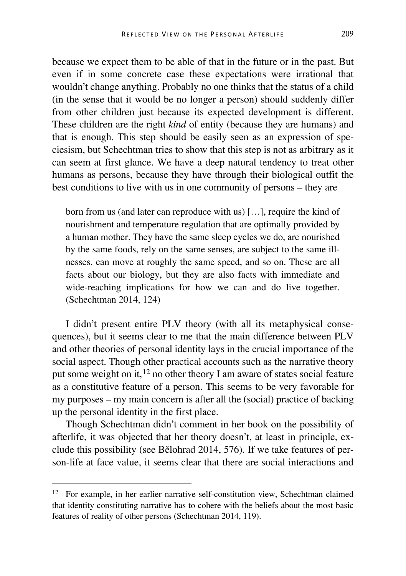because we expect them to be able of that in the future or in the past. But even if in some concrete case these expectations were irrational that wouldn't change anything. Probably no one thinks that the status of a child (in the sense that it would be no longer a person) should suddenly differ from other children just because its expected development is different. These children are the right *kind* of entity (because they are humans) and that is enough. This step should be easily seen as an expression of speciesism, but Schechtman tries to show that this step is not as arbitrary as it can seem at first glance. We have a deep natural tendency to treat other humans as persons, because they have through their biological outfit the best conditions to live with us in one community of persons – they are

born from us (and later can reproduce with us) […], require the kind of nourishment and temperature regulation that are optimally provided by a human mother. They have the same sleep cycles we do, are nourished by the same foods, rely on the same senses, are subject to the same illnesses, can move at roughly the same speed, and so on. These are all facts about our biology, but they are also facts with immediate and wide-reaching implications for how we can and do live together. (Schechtman 2014, 124)

I didn't present entire PLV theory (with all its metaphysical consequences), but it seems clear to me that the main difference between PLV and other theories of personal identity lays in the crucial importance of the social aspect. Though other practical accounts such as the narrative theory put some weight on it,  $12$  no other theory I am aware of states social feature as a constitutive feature of a person. This seems to be very favorable for my purposes – my main concern is after all the (social) practice of backing up the personal identity in the first place.

Though Schechtman didn't comment in her book on the possibility of afterlife, it was objected that her theory doesn't, at least in principle, exclude this possibility (see Bělohrad 2014, 576). If we take features of person-life at face value, it seems clear that there are social interactions and

<span id="page-13-0"></span> <sup>12</sup> For example, in her earlier narrative self-constitution view, Schechtman claimed that identity constituting narrative has to cohere with the beliefs about the most basic features of reality of other persons (Schechtman 2014, 119).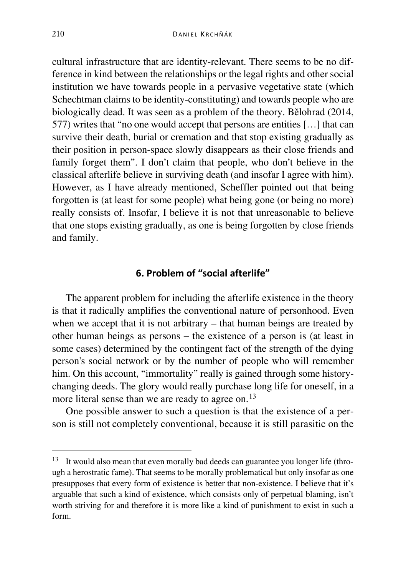cultural infrastructure that are identity-relevant. There seems to be no difference in kind between the relationships or the legal rights and other social institution we have towards people in a pervasive vegetative state (which Schechtman claims to be identity-constituting) and towards people who are biologically dead. It was seen as a problem of the theory. Bělohrad (2014, 577) writes that "no one would accept that persons are entities […] that can survive their death, burial or cremation and that stop existing gradually as their position in person-space slowly disappears as their close friends and family forget them". I don't claim that people, who don't believe in the classical afterlife believe in surviving death (and insofar I agree with him). However, as I have already mentioned, Scheffler pointed out that being forgotten is (at least for some people) what being gone (or being no more) really consists of. Insofar, I believe it is not that unreasonable to believe that one stops existing gradually, as one is being forgotten by close friends and family.

## **6. Problem of "social afterlife"**

The apparent problem for including the afterlife existence in the theory is that it radically amplifies the conventional nature of personhood. Even when we accept that it is not arbitrary – that human beings are treated by other human beings as persons – the existence of a person is (at least in some cases) determined by the contingent fact of the strength of the dying person's social network or by the number of people who will remember him. On this account, "immortality" really is gained through some historychanging deeds. The glory would really purchase long life for oneself, in a more literal sense than we are ready to agree on.<sup>[13](#page-14-0)</sup>

One possible answer to such a question is that the existence of a person is still not completely conventional, because it is still parasitic on the

<span id="page-14-0"></span><sup>&</sup>lt;sup>13</sup> It would also mean that even morally bad deeds can guarantee you longer life (through a herostratic fame). That seems to be morally problematical but only insofar as one presupposes that every form of existence is better that non-existence. I believe that it's arguable that such a kind of existence, which consists only of perpetual blaming, isn't worth striving for and therefore it is more like a kind of punishment to exist in such a form.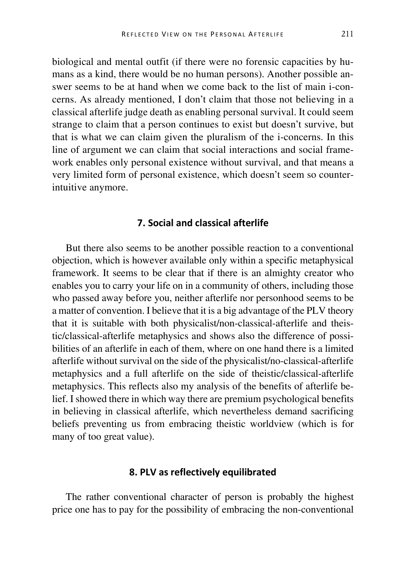biological and mental outfit (if there were no forensic capacities by humans as a kind, there would be no human persons). Another possible answer seems to be at hand when we come back to the list of main i-concerns. As already mentioned, I don't claim that those not believing in a classical afterlife judge death as enabling personal survival. It could seem strange to claim that a person continues to exist but doesn't survive, but that is what we can claim given the pluralism of the i-concerns. In this line of argument we can claim that social interactions and social framework enables only personal existence without survival, and that means a very limited form of personal existence, which doesn't seem so counterintuitive anymore.

#### **7. Social and classical afterlife**

But there also seems to be another possible reaction to a conventional objection, which is however available only within a specific metaphysical framework. It seems to be clear that if there is an almighty creator who enables you to carry your life on in a community of others, including those who passed away before you, neither afterlife nor personhood seems to be a matter of convention. I believe that it is a big advantage of the PLV theory that it is suitable with both physicalist/non-classical-afterlife and theistic/classical-afterlife metaphysics and shows also the difference of possibilities of an afterlife in each of them, where on one hand there is a limited afterlife without survival on the side of the physicalist/no-classical-afterlife metaphysics and a full afterlife on the side of theistic/classical-afterlife metaphysics. This reflects also my analysis of the benefits of afterlife belief. I showed there in which way there are premium psychological benefits in believing in classical afterlife, which nevertheless demand sacrificing beliefs preventing us from embracing theistic worldview (which is for many of too great value).

#### **8. PLV as reflectively equilibrated**

The rather conventional character of person is probably the highest price one has to pay for the possibility of embracing the non-conventional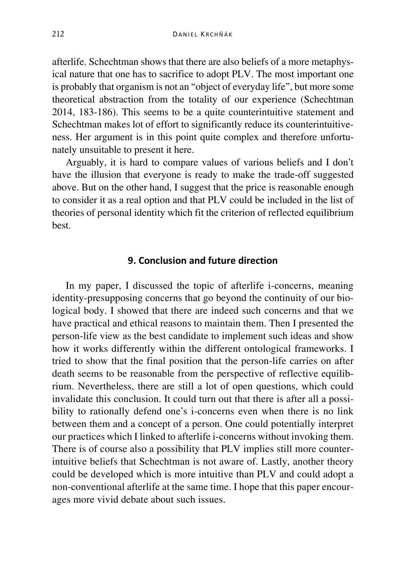afterlife. Schechtman shows that there are also beliefs of a more metaphysical nature that one has to sacrifice to adopt PLV. The most important one is probably that organism is not an "object of everyday life", but more some theoretical abstraction from the totality of our experience (Schechtman 2014, 183-186). This seems to be a quite counterintuitive statement and Schechtman makes lot of effort to significantly reduce its counterintuitiveness. Her argument is in this point quite complex and therefore unfortunately unsuitable to present it here.

Arguably, it is hard to compare values of various beliefs and I don't have the illusion that everyone is ready to make the trade-off suggested above. But on the other hand, I suggest that the price is reasonable enough to consider it as a real option and that PLV could be included in the list of theories of personal identity which fit the criterion of reflected equilibrium best.

# **9. Conclusion and future direction**

In my paper, I discussed the topic of afterlife i-concerns, meaning identity-presupposing concerns that go beyond the continuity of our biological body. I showed that there are indeed such concerns and that we have practical and ethical reasons to maintain them. Then I presented the person-life view as the best candidate to implement such ideas and show how it works differently within the different ontological frameworks. I tried to show that the final position that the person-life carries on after death seems to be reasonable from the perspective of reflective equilibrium. Nevertheless, there are still a lot of open questions, which could invalidate this conclusion. It could turn out that there is after all a possibility to rationally defend one's i-concerns even when there is no link between them and a concept of a person. One could potentially interpret our practices which I linked to afterlife i-concerns without invoking them. There is of course also a possibility that PLV implies still more counterintuitive beliefs that Schechtman is not aware of. Lastly, another theory could be developed which is more intuitive than PLV and could adopt a non-conventional afterlife at the same time. I hope that this paper encourages more vivid debate about such issues.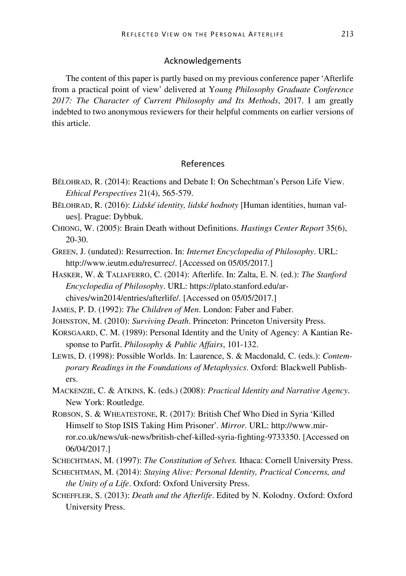#### Acknowledgements

The content of this paper is partly based on my previous conference paper 'Afterlife from a practical point of view' delivered at Y*oung Philosophy Graduate Conference 2017: The Character of Current Philosophy and Its Methods*, 2017. I am greatly indebted to two anonymous reviewers for their helpful comments on earlier versions of this article.

#### References

- BĚLOHRAD, R. (2014): Reactions and Debate I: On Schechtman's Person Life View. *Ethical Perspectives* 21(4), 565-579.
- BĚLOHRAD, R. (2016): *Lidské identity, lidské hodnoty* [Human identities, human values]. Prague: Dybbuk.
- CHIONG, W. (2005): Brain Death without Definitions. *Hastings Center Report* 35(6), 20-30.
- GREEN, J. (undated): Resurrection. In: *Internet Encyclopedia of Philosophy*. URL: [http://www.ieutm.edu/resurrec/.](http://www.iep.utm.edu/resurrec/) [Accessed on 05/05/2017.]
- HASKER, W. & TALIAFERRO, C. (2014): Afterlife. In: Zalta, E. N. (ed.): *The Stanford Encyclopedia of Philosophy*. URL: [https://plato.stanford.edu/ar](https://plato.stanford.edu/archives/win2014/entries/afterlife/)[chives/win2014/entries/afterlife/.](https://plato.stanford.edu/archives/win2014/entries/afterlife/) [Accessed on 05/05/2017.]
- JAMES, P. D. (1992): *The Children of Men*. London: Faber and Faber.
- JOHNSTON, M. (2010): *Surviving Death*. Princeton: Princeton University Press.
- KORSGAARD, C. M. (1989): Personal Identity and the Unity of Agency: A Kantian Response to Parfit. *Philosophy & Public Affairs*, 101-132.
- LEWIS, D. (1998): Possible Worlds. In: Laurence, S. & Macdonald, C. (eds.): *Contemporary Readings in the Foundations of Metaphysics*. Oxford: Blackwell Publishers.
- MACKENZIE, C. & ATKINS, K. (eds.) (2008): *Practical Identity and Narrative Agency*. New York: Routledge.
- ROBSON, S. & WHEATESTONE, R. (2017): British Chef Who Died in Syria 'Killed Himself to Stop ISIS Taking Him Prisoner'. *Mirror*. URL[: http://www.mir](http://www.mirror.co.uk/news/uk-news/british-chef-killed-syria-fighting-9733350)[ror.co.uk/news/uk-news/british-chef-killed-syria-fighting-9733350.](http://www.mirror.co.uk/news/uk-news/british-chef-killed-syria-fighting-9733350) [Accessed on 06/04/2017.]
- SCHECHTMAN, M. (1997): *The Constitution of Selves.* Ithaca: Cornell University Press.
- SCHECHTMAN, M. (2014): *Staying Alive: Personal Identity, Practical Concerns, and the Unity of a Life*. Oxford: Oxford University Press.
- SCHEFFLER, S. (2013): *Death and the Afterlife*. Edited by N. Kolodny. Oxford: Oxford University Press.